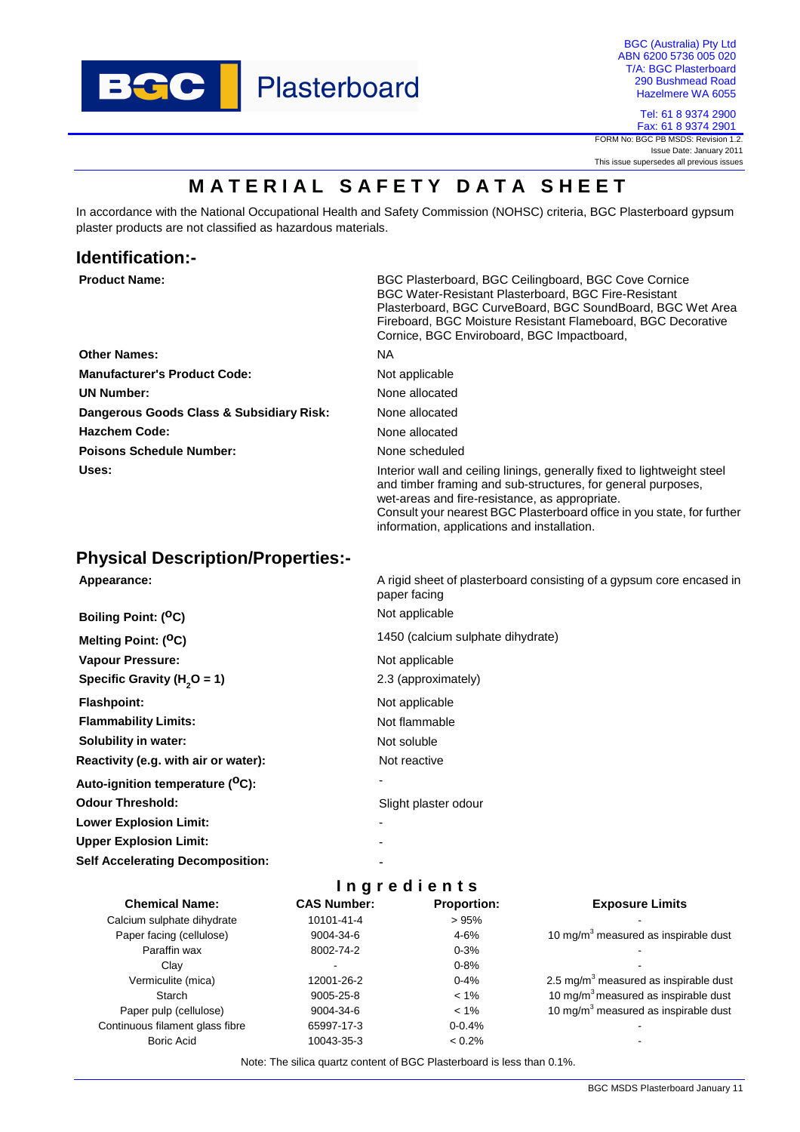

BGC (Australia) Pty Ltd ABN 6200 5736 005 020 T/A: BGC Plasterboard 290 Bushmead Road Hazelmere WA 6055

> Tel: 61 8 9374 2900 Fax: 61 8 9374 2901

FORM No: BGC PB MSDS: Revision 1.2. Issue Date: January 2011 This issue supersedes all previous issues

# **MATERIAL SAFETY DATA SHEET**

In accordance with the National Occupational Health and Safety Commission (NOHSC) criteria, BGC Plasterboard gypsum plaster products are not classified as hazardous materials.

# **Identification:-**

| <b>Product Name:</b>                     | BGC Plasterboard, BGC Ceilingboard, BGC Cove Cornice<br><b>BGC Water-Resistant Plasterboard, BGC Fire-Resistant</b><br>Plasterboard, BGC CurveBoard, BGC SoundBoard, BGC Wet Area<br>Fireboard, BGC Moisture Resistant Flameboard, BGC Decorative<br>Cornice, BGC Enviroboard, BGC Impactboard, |
|------------------------------------------|-------------------------------------------------------------------------------------------------------------------------------------------------------------------------------------------------------------------------------------------------------------------------------------------------|
| <b>Other Names:</b>                      | NA.                                                                                                                                                                                                                                                                                             |
| <b>Manufacturer's Product Code:</b>      | Not applicable                                                                                                                                                                                                                                                                                  |
| <b>UN Number:</b>                        | None allocated                                                                                                                                                                                                                                                                                  |
| Dangerous Goods Class & Subsidiary Risk: | None allocated                                                                                                                                                                                                                                                                                  |
| <b>Hazchem Code:</b>                     | None allocated                                                                                                                                                                                                                                                                                  |
| <b>Poisons Schedule Number:</b>          | None scheduled                                                                                                                                                                                                                                                                                  |
| Uses:                                    | Interior wall and ceiling linings, generally fixed to lightweight steel<br>and timber framing and sub-structures, for general purposes,<br>wet-areas and fire-resistance, as appropriate.<br>Consult your nearest BGC Plasterboard office in you state, for further                             |

information, applications and installation.

# **Physical Description/Properties:-**

| Appearance:                                  | A rigid sheet of plasterboard consisting of a gypsum core encased in<br>paper facing |
|----------------------------------------------|--------------------------------------------------------------------------------------|
| Boiling Point: ( <sup>O</sup> C)             | Not applicable                                                                       |
| Melting Point: ( <sup>O</sup> C)             | 1450 (calcium sulphate dihydrate)                                                    |
| <b>Vapour Pressure:</b>                      | Not applicable                                                                       |
| Specific Gravity ( $H2O = 1$ )               | 2.3 (approximately)                                                                  |
| <b>Flashpoint:</b>                           | Not applicable                                                                       |
| <b>Flammability Limits:</b>                  | Not flammable                                                                        |
| Solubility in water:                         | Not soluble                                                                          |
| Reactivity (e.g. with air or water):         | Not reactive                                                                         |
| Auto-ignition temperature ( <sup>O</sup> C): |                                                                                      |
| <b>Odour Threshold:</b>                      | Slight plaster odour                                                                 |
| <b>Lower Explosion Limit:</b>                |                                                                                      |
| <b>Upper Explosion Limit:</b>                |                                                                                      |
| <b>Self Accelerating Decomposition:</b>      |                                                                                      |

| <b>Ingredients</b>              |                        |                    |                                          |  |  |  |
|---------------------------------|------------------------|--------------------|------------------------------------------|--|--|--|
| <b>Chemical Name:</b>           | <b>CAS Number:</b>     | <b>Proportion:</b> | <b>Exposure Limits</b>                   |  |  |  |
| Calcium sulphate dihydrate      | 10101-41-4             | >95%               |                                          |  |  |  |
| Paper facing (cellulose)        | 9004-34-6              | $4 - 6%$           | 10 mg/m $3$ measured as inspirable dust  |  |  |  |
| Paraffin wax                    | 8002-74-2              | $0 - 3%$           |                                          |  |  |  |
| Clav                            | ۰                      | $0 - 8%$           |                                          |  |  |  |
| Vermiculite (mica)              | 12001-26-2<br>$0 - 4%$ |                    | 2.5 mg/m $3$ measured as inspirable dust |  |  |  |
| Starch                          | 9005-25-8              | $< 1\%$            | 10 mg/m $3$ measured as inspirable dust  |  |  |  |
| Paper pulp (cellulose)          | 9004-34-6              | $< 1\%$            | 10 mg/m $3$ measured as inspirable dust  |  |  |  |
| Continuous filament glass fibre | 65997-17-3             | $0 - 0.4%$         |                                          |  |  |  |
| <b>Boric Acid</b>               | 10043-35-3             | $< 0.2\%$          |                                          |  |  |  |

Note: The silica quartz content of BGC Plasterboard is less than 0.1%.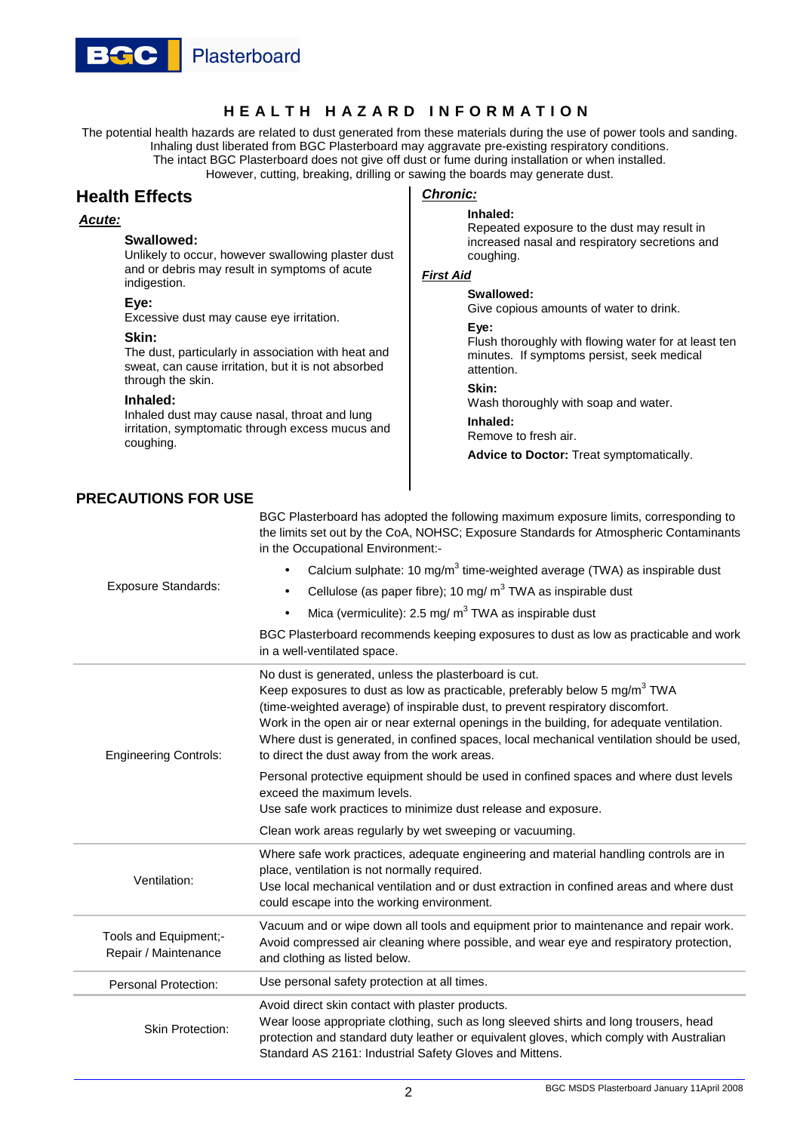

## **H E A L T H H A Z A R D I N F O R M A T I O N**

The potential health hazards are related to dust generated from these materials during the use of power tools and sanding. Inhaling dust liberated from BGC Plasterboard may aggravate pre-existing respiratory conditions. The intact BGC Plasterboard does not give off dust or fume during installation or when installed. However, cutting, breaking, drilling or sawing the boards may generate dust.

## **Health Effects**

### **Acute:**

#### **Swallowed:**

Unlikely to occur, however swallowing plaster dust and or debris may result in symptoms of acute indigestion.

#### **Eye:**

Excessive dust may cause eye irritation.

#### **Skin:**

The dust, particularly in association with heat and sweat, can cause irritation, but it is not absorbed through the skin.

#### **Inhaled:**

Inhaled dust may cause nasal, throat and lung irritation, symptomatic through excess mucus and coughing.

## **PRECAUTIONS FOR USE**

### **Chronic: Inhaled:**

Repeated exposure to the dust may result in increased nasal and respiratory secretions and coughing.

#### **First Aid**

#### **Swallowed:**

Give copious amounts of water to drink.

**Eye:** 

Flush thoroughly with flowing water for at least ten minutes. If symptoms persist, seek medical attention.

**Skin:** 

Wash thoroughly with soap and water.

**Inhaled:**  Remove to fresh air.

**Advice to Doctor:** Treat symptomatically.

| BGC Plasterboard has adopted the following maximum exposure limits, corresponding to  |
|---------------------------------------------------------------------------------------|
| the limits set out by the CoA, NOHSC; Exposure Standards for Atmospheric Contaminants |
| in the Occupational Environment:-                                                     |

| <b>Exposure Standards:</b>                                                                                                                                                                                                                                                                                                | Calcium sulphate: 10 mg/m <sup>3</sup> time-weighted average (TWA) as inspirable dust<br>$\bullet$<br>Cellulose (as paper fibre); 10 mg/ $m3$ TWA as inspirable dust<br>$\bullet$<br>Mica (vermiculite): 2.5 mg/ $m3$ TWA as inspirable dust<br>$\bullet$<br>BGC Plasterboard recommends keeping exposures to dust as low as practicable and work                                                                  |  |  |
|---------------------------------------------------------------------------------------------------------------------------------------------------------------------------------------------------------------------------------------------------------------------------------------------------------------------------|--------------------------------------------------------------------------------------------------------------------------------------------------------------------------------------------------------------------------------------------------------------------------------------------------------------------------------------------------------------------------------------------------------------------|--|--|
|                                                                                                                                                                                                                                                                                                                           | in a well-ventilated space.<br>No dust is generated, unless the plasterboard is cut.                                                                                                                                                                                                                                                                                                                               |  |  |
| <b>Engineering Controls:</b>                                                                                                                                                                                                                                                                                              | Keep exposures to dust as low as practicable, preferably below 5 mg/m <sup>3</sup> TWA<br>(time-weighted average) of inspirable dust, to prevent respiratory discomfort.<br>Work in the open air or near external openings in the building, for adequate ventilation.<br>Where dust is generated, in confined spaces, local mechanical ventilation should be used,<br>to direct the dust away from the work areas. |  |  |
|                                                                                                                                                                                                                                                                                                                           | Personal protective equipment should be used in confined spaces and where dust levels<br>exceed the maximum levels.<br>Use safe work practices to minimize dust release and exposure.                                                                                                                                                                                                                              |  |  |
|                                                                                                                                                                                                                                                                                                                           | Clean work areas regularly by wet sweeping or vacuuming.                                                                                                                                                                                                                                                                                                                                                           |  |  |
| Ventilation:                                                                                                                                                                                                                                                                                                              | Where safe work practices, adequate engineering and material handling controls are in<br>place, ventilation is not normally required.<br>Use local mechanical ventilation and or dust extraction in confined areas and where dust<br>could escape into the working environment.                                                                                                                                    |  |  |
| Tools and Equipment;-<br>Repair / Maintenance                                                                                                                                                                                                                                                                             | Vacuum and or wipe down all tools and equipment prior to maintenance and repair work.<br>Avoid compressed air cleaning where possible, and wear eye and respiratory protection,<br>and clothing as listed below.                                                                                                                                                                                                   |  |  |
| <b>Personal Protection:</b>                                                                                                                                                                                                                                                                                               | Use personal safety protection at all times.                                                                                                                                                                                                                                                                                                                                                                       |  |  |
| Avoid direct skin contact with plaster products.<br>Wear loose appropriate clothing, such as long sleeved shirts and long trousers, head<br><b>Skin Protection:</b><br>protection and standard duty leather or equivalent gloves, which comply with Australian<br>Standard AS 2161: Industrial Safety Gloves and Mittens. |                                                                                                                                                                                                                                                                                                                                                                                                                    |  |  |